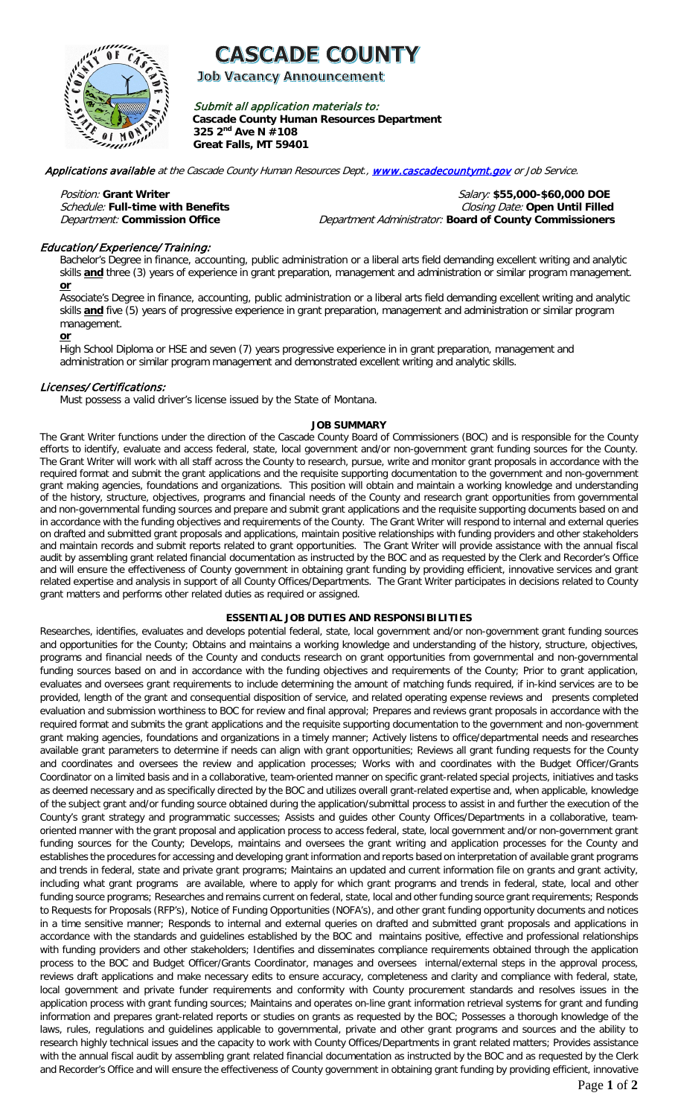

**Job Vacancy Announcement** 

Submit all application materials to: **Cascade County Human Resources Department 325 2nd Ave N #108 Great Falls, MT 59401** 

Applications available at the Cascade County Human Resources Dept., [www.cascadecountymt.gov](http://www.cascadecountymt.gov/) or Job Service.

Position: **Grant Writer** Salary: **\$55,000-\$60,000 DOE** Schedule: **Full-time with Benefits** Closing Date: **Open Until Filled**  Department Administrator: **Board of County Commissioners** 

# Education/ Experience/ Training:

Bachelor's Degree in finance, accounting, public administration or a liberal arts field demanding excellent writing and analytic skills **and** three (3) years of experience in grant preparation, management and administration or similar program management. **or**

Associate's Degree in finance, accounting, public administration or a liberal arts field demanding excellent writing and analytic skills **and** five (5) years of progressive experience in grant preparation, management and administration or similar program management.

**or**

High School Diploma or HSE and seven (7) years progressive experience in in grant preparation, management and administration or similar program management and demonstrated excellent writing and analytic skills.

### Licenses/Certifications:

Must possess a valid driver's license issued by the State of Montana.

#### **JOB SUMMARY**

The Grant Writer functions under the direction of the Cascade County Board of Commissioners (BOC) and is responsible for the County efforts to identify, evaluate and access federal, state, local government and/or non-government grant funding sources for the County. The Grant Writer will work with all staff across the County to research, pursue, write and monitor grant proposals in accordance with the required format and submit the grant applications and the requisite supporting documentation to the government and non-government grant making agencies, foundations and organizations. This position will obtain and maintain a working knowledge and understanding of the history, structure, objectives, programs and financial needs of the County and research grant opportunities from governmental and non-governmental funding sources and prepare and submit grant applications and the requisite supporting documents based on and in accordance with the funding objectives and requirements of the County. The Grant Writer will respond to internal and external queries on drafted and submitted grant proposals and applications, maintain positive relationships with funding providers and other stakeholders and maintain records and submit reports related to grant opportunities. The Grant Writer will provide assistance with the annual fiscal audit by assembling grant related financial documentation as instructed by the BOC and as requested by the Clerk and Recorder's Office and will ensure the effectiveness of County government in obtaining grant funding by providing efficient, innovative services and grant related expertise and analysis in support of all County Offices/Departments. The Grant Writer participates in decisions related to County grant matters and performs other related duties as required or assigned.

### **ESSENTIAL JOB DUTIES AND RESPONSIBILITIES**

Researches, identifies, evaluates and develops potential federal, state, local government and/or non-government grant funding sources and opportunities for the County; Obtains and maintains a working knowledge and understanding of the history, structure, objectives, programs and financial needs of the County and conducts research on grant opportunities from governmental and non-governmental funding sources based on and in accordance with the funding objectives and requirements of the County; Prior to grant application, evaluates and oversees grant requirements to include determining the amount of matching funds required, if in-kind services are to be provided, length of the grant and consequential disposition of service, and related operating expense reviews and presents completed evaluation and submission worthiness to BOC for review and final approval; Prepares and reviews grant proposals in accordance with the required format and submits the grant applications and the requisite supporting documentation to the government and non-government grant making agencies, foundations and organizations in a timely manner; Actively listens to office/departmental needs and researches available grant parameters to determine if needs can align with grant opportunities; Reviews all grant funding requests for the County and coordinates and oversees the review and application processes; Works with and coordinates with the Budget Officer/Grants Coordinator on a limited basis and in a collaborative, team-oriented manner on specific grant-related special projects, initiatives and tasks as deemed necessary and as specifically directed by the BOC and utilizes overall grant-related expertise and, when applicable, knowledge of the subject grant and/or funding source obtained during the application/submittal process to assist in and further the execution of the County's grant strategy and programmatic successes; Assists and guides other County Offices/Departments in a collaborative, teamoriented manner with the grant proposal and application process to access federal, state, local government and/or non-government grant funding sources for the County; Develops, maintains and oversees the grant writing and application processes for the County and establishes the procedures for accessing and developing grant information and reports based on interpretation of available grant programs and trends in federal, state and private grant programs; Maintains an updated and current information file on grants and grant activity, including what grant programs are available, where to apply for which grant programs and trends in federal, state, local and other funding source programs; Researches and remains current on federal, state, local and other funding source grant requirements; Responds to Requests for Proposals (RFP's), Notice of Funding Opportunities (NOFA's), and other grant funding opportunity documents and notices in a time sensitive manner; Responds to internal and external queries on drafted and submitted grant proposals and applications in accordance with the standards and guidelines established by the BOC and maintains positive, effective and professional relationships with funding providers and other stakeholders; Identifies and disseminates compliance requirements obtained through the application process to the BOC and Budget Officer/Grants Coordinator, manages and oversees internal/external steps in the approval process, reviews draft applications and make necessary edits to ensure accuracy, completeness and clarity and compliance with federal, state, local government and private funder requirements and conformity with County procurement standards and resolves issues in the application process with grant funding sources; Maintains and operates on-line grant information retrieval systems for grant and funding information and prepares grant-related reports or studies on grants as requested by the BOC; Possesses a thorough knowledge of the laws, rules, regulations and guidelines applicable to governmental, private and other grant programs and sources and the ability to research highly technical issues and the capacity to work with County Offices/Departments in grant related matters; Provides assistance with the annual fiscal audit by assembling grant related financial documentation as instructed by the BOC and as requested by the Clerk and Recorder's Office and will ensure the effectiveness of County government in obtaining grant funding by providing efficient, innovative